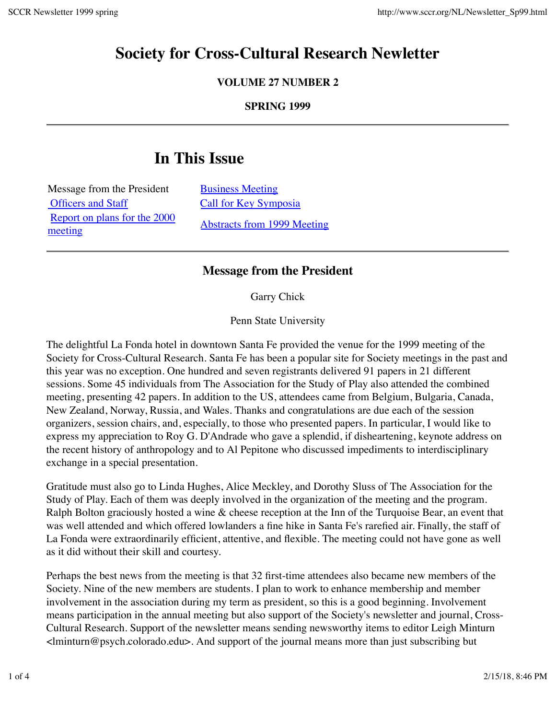## **Society for Cross-Cultural Research Newletter**

**VOLUME 27 NUMBER 2**

**SPRING 1999**

# **In This Issue**

| Message from the President   |
|------------------------------|
| <b>Officers and Staff</b>    |
| Report on plans for the 2000 |
| meeting                      |

**Business Meeting** Call for Key Symposia Abstracts from 1999 Meeting

## **Message from the President**

Garry Chick

Penn State University

The delightful La Fonda hotel in downtown Santa Fe provided the venue for the 1999 meeting of the Society for Cross-Cultural Research. Santa Fe has been a popular site for Society meetings in the past and this year was no exception. One hundred and seven registrants delivered 91 papers in 21 different sessions. Some 45 individuals from The Association for the Study of Play also attended the combined meeting, presenting 42 papers. In addition to the US, attendees came from Belgium, Bulgaria, Canada, New Zealand, Norway, Russia, and Wales. Thanks and congratulations are due each of the session organizers, session chairs, and, especially, to those who presented papers. In particular, I would like to express my appreciation to Roy G. D'Andrade who gave a splendid, if disheartening, keynote address on the recent history of anthropology and to Al Pepitone who discussed impediments to interdisciplinary exchange in a special presentation.

Gratitude must also go to Linda Hughes, Alice Meckley, and Dorothy Sluss of The Association for the Study of Play. Each of them was deeply involved in the organization of the meeting and the program. Ralph Bolton graciously hosted a wine & cheese reception at the Inn of the Turquoise Bear, an event that was well attended and which offered lowlanders a fine hike in Santa Fe's rarefied air. Finally, the staff of La Fonda were extraordinarily efficient, attentive, and flexible. The meeting could not have gone as well as it did without their skill and courtesy.

Perhaps the best news from the meeting is that 32 first-time attendees also became new members of the Society. Nine of the new members are students. I plan to work to enhance membership and member involvement in the association during my term as president, so this is a good beginning. Involvement means participation in the annual meeting but also support of the Society's newsletter and journal, Cross-Cultural Research. Support of the newsletter means sending newsworthy items to editor Leigh Minturn <lminturn@psych.colorado.edu>. And support of the journal means more than just subscribing but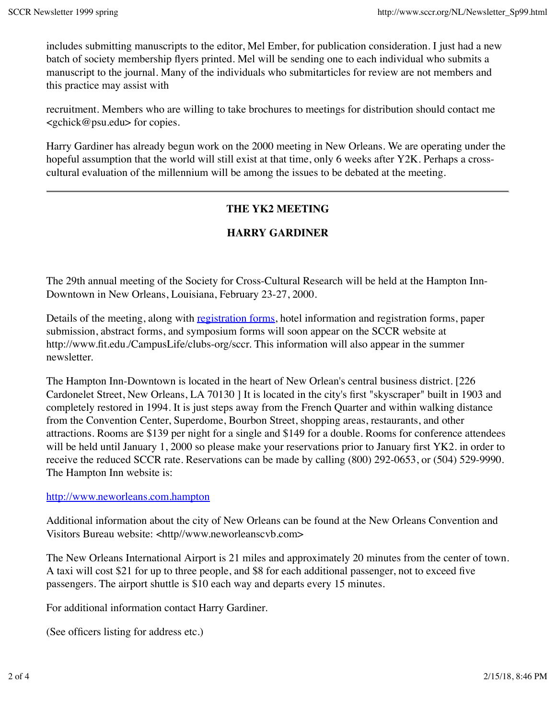includes submitting manuscripts to the editor, Mel Ember, for publication consideration. I just had a new batch of society membership flyers printed. Mel will be sending one to each individual who submits a manuscript to the journal. Many of the individuals who submitarticles for review are not members and this practice may assist with

recruitment. Members who are willing to take brochures to meetings for distribution should contact me  $\leq$ gchick@psu.edu> for copies.

Harry Gardiner has already begun work on the 2000 meeting in New Orleans. We are operating under the hopeful assumption that the world will still exist at that time, only 6 weeks after Y2K. Perhaps a crosscultural evaluation of the millennium will be among the issues to be debated at the meeting.

## **THE YK2 MEETING**

## **HARRY GARDINER**

The 29th annual meeting of the Society for Cross-Cultural Research will be held at the Hampton Inn-Downtown in New Orleans, Louisiana, February 23-27, 2000.

Details of the meeting, along with registration forms, hotel information and registration forms, paper submission, abstract forms, and symposium forms will soon appear on the SCCR website at http://www.fit.edu./CampusLife/clubs-org/sccr. This information will also appear in the summer newsletter.

The Hampton Inn-Downtown is located in the heart of New Orlean's central business district. [226 Cardonelet Street, New Orleans, LA 70130 ] It is located in the city's first "skyscraper" built in 1903 and completely restored in 1994. It is just steps away from the French Quarter and within walking distance from the Convention Center, Superdome, Bourbon Street, shopping areas, restaurants, and other attractions. Rooms are \$139 per night for a single and \$149 for a double. Rooms for conference attendees will be held until January 1, 2000 so please make your reservations prior to January first YK2. in order to receive the reduced SCCR rate. Reservations can be made by calling (800) 292-0653, or (504) 529-9990. The Hampton Inn website is:

#### http://www.neworleans.com.hampton

Additional information about the city of New Orleans can be found at the New Orleans Convention and Visitors Bureau website: <http//www.neworleanscvb.com>

The New Orleans International Airport is 21 miles and approximately 20 minutes from the center of town. A taxi will cost \$21 for up to three people, and \$8 for each additional passenger, not to exceed five passengers. The airport shuttle is \$10 each way and departs every 15 minutes.

For additional information contact Harry Gardiner.

(See officers listing for address etc.)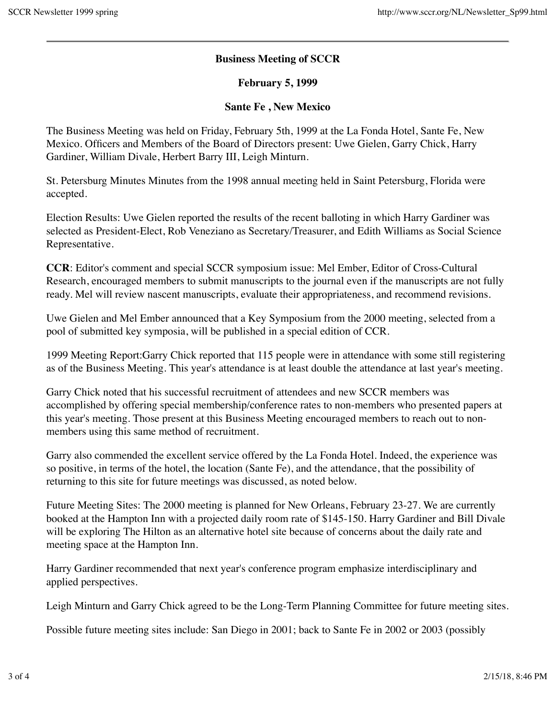### **Business Meeting of SCCR**

#### **February 5, 1999**

#### **Sante Fe , New Mexico**

The Business Meeting was held on Friday, February 5th, 1999 at the La Fonda Hotel, Sante Fe, New Mexico. Officers and Members of the Board of Directors present: Uwe Gielen, Garry Chick, Harry Gardiner, William Divale, Herbert Barry III, Leigh Minturn.

St. Petersburg Minutes Minutes from the 1998 annual meeting held in Saint Petersburg, Florida were accepted.

Election Results: Uwe Gielen reported the results of the recent balloting in which Harry Gardiner was selected as President-Elect, Rob Veneziano as Secretary/Treasurer, and Edith Williams as Social Science Representative.

**CCR**: Editor's comment and special SCCR symposium issue: Mel Ember, Editor of Cross-Cultural Research, encouraged members to submit manuscripts to the journal even if the manuscripts are not fully ready. Mel will review nascent manuscripts, evaluate their appropriateness, and recommend revisions.

Uwe Gielen and Mel Ember announced that a Key Symposium from the 2000 meeting, selected from a pool of submitted key symposia, will be published in a special edition of CCR.

1999 Meeting Report:Garry Chick reported that 115 people were in attendance with some still registering as of the Business Meeting. This year's attendance is at least double the attendance at last year's meeting.

Garry Chick noted that his successful recruitment of attendees and new SCCR members was accomplished by offering special membership/conference rates to non-members who presented papers at this year's meeting. Those present at this Business Meeting encouraged members to reach out to nonmembers using this same method of recruitment.

Garry also commended the excellent service offered by the La Fonda Hotel. Indeed, the experience was so positive, in terms of the hotel, the location (Sante Fe), and the attendance, that the possibility of returning to this site for future meetings was discussed, as noted below.

Future Meeting Sites: The 2000 meeting is planned for New Orleans, February 23-27. We are currently booked at the Hampton Inn with a projected daily room rate of \$145-150. Harry Gardiner and Bill Divale will be exploring The Hilton as an alternative hotel site because of concerns about the daily rate and meeting space at the Hampton Inn.

Harry Gardiner recommended that next year's conference program emphasize interdisciplinary and applied perspectives.

Leigh Minturn and Garry Chick agreed to be the Long-Term Planning Committee for future meeting sites.

Possible future meeting sites include: San Diego in 2001; back to Sante Fe in 2002 or 2003 (possibly